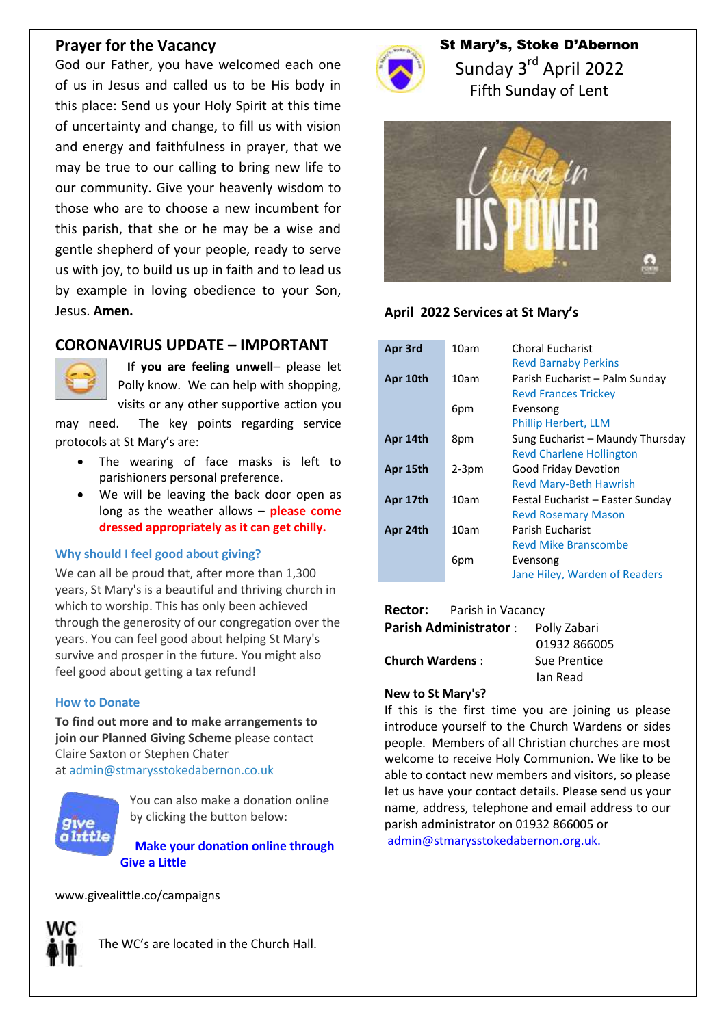### **Prayer for the Vacancy**

God our Father, you have welcomed each one of us in Jesus and called us to be His body in this place: Send us your Holy Spirit at this time of uncertainty and change, to fill us with vision and energy and faithfulness in prayer, that we may be true to our calling to bring new life to our community. Give your heavenly wisdom to those who are to choose a new incumbent for this parish, that she or he may be a wise and gentle shepherd of your people, ready to serve us with joy, to build us up in faith and to lead us by example in loving obedience to your Son, Jesus. **Amen.**

# **CORONAVIRUS UPDATE – IMPORTANT**



 **If you are feeling unwell**– please let Polly know. We can help with shopping, visits or any other supportive action you

may need. The key points regarding service protocols at St Mary's are:

- The wearing of face masks is left to parishioners personal preference.
- We will be leaving the back door open as long as the weather allows – **please come dressed appropriately as it can get chilly.**

### **Why should I feel good about giving?**

We can all be proud that, after more than 1,300 years, St Mary's is a beautiful and thriving church in which to worship. This has only been achieved through the generosity of our congregation over the years. You can feel good about helping St Mary's survive and prosper in the future. You might also feel good about getting a tax refund!

#### **How to Donate**

**To find out more and to make arrangements to join our Planned Giving Scheme** please contact Claire Saxton or Stephen Chater at [admin@stmarysstokedabernon.co.uk](mailto:info@stmarysstokedabernon.co.uk)



You can also make a donation online by clicking the button below:

**Make your [donation](https://givealittle.co/campaigns/7d65d2c5-4189-45f4-9027-11ecb5814414) online through Give a [Little](https://givealittle.co/campaigns/7d65d2c5-4189-45f4-9027-11ecb5814414)**

www.givealittle.co/campaigns



The WC's are located in the Church Hall.



# St Mary's, Stoke D'Abernon Sunday 3<sup>rd</sup> April 2022 Fifth Sunday of Lent



### **April 2022 Services at St Mary's**

| Apr 3rd  | 10am    | <b>Choral Eucharist</b><br><b>Revd Barnaby Perkins</b>              |
|----------|---------|---------------------------------------------------------------------|
| Apr 10th | 10am    | Parish Eucharist - Palm Sunday<br><b>Revd Frances Trickey</b>       |
|          | 6pm     | Evensong<br><b>Phillip Herbert, LLM</b>                             |
| Apr 14th | 8pm     | Sung Eucharist - Maundy Thursday<br><b>Revd Charlene Hollington</b> |
| Apr 15th | $2-3pm$ | Good Friday Devotion<br><b>Revd Mary-Beth Hawrish</b>               |
| Apr 17th | 10am    | Festal Eucharist – Easter Sunday<br><b>Revd Rosemary Mason</b>      |
| Apr 24th | 10am    | Parish Fucharist<br><b>Revd Mike Branscombe</b>                     |
|          | 6pm     | Evensong<br>Jane Hiley, Warden of Readers                           |

#### **Rector:** Parish in Vacancy

| <b>Parish Administrator:</b> | Polly Zabari |
|------------------------------|--------------|
|                              | 01932 866005 |
| <b>Church Wardens:</b>       | Sue Prentice |
|                              | lan Read     |
|                              |              |

#### **New to St Mary's?**

If this is the first time you are joining us please introduce yourself to the Church Wardens or sides people. Members of all Christian churches are most welcome to receive Holy Communion. We like to be able to contact new members and visitors, so please let us have your contact details. Please send us your name, address, telephone and email address to our parish administrator on 01932 866005 or [admin@stmarysstokedabernon.org.uk.](mailto:admin@stmarysstokedabernon.org.uk)